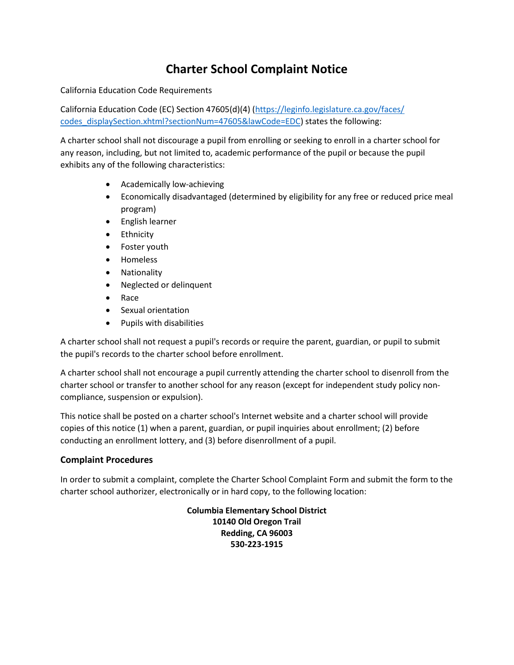## **Charter School Complaint Notice**

California Education Code Requirements

California Education Code (EC) Section 47605(d)(4) (https://leginfo.legislature.ca.gov/faces/ [codes\\_displaySection.xhtml?sectionNum=47605&lawCode=EDC\)](https://leginfo.legislature.ca.gov/faces/%20codes_displaySection.xhtml?sectionNum=47605&lawCode=EDC) states the following:

A charter school shall not discourage a pupil from enrolling or seeking to enroll in a charter school for any reason, including, but not limited to, academic performance of the pupil or because the pupil exhibits any of the following characteristics:

- Academically low-achieving
- Economically disadvantaged (determined by eligibility for any free or reduced price meal program)
- **•** English learner
- **•** Ethnicity
- Foster youth
- Homeless
- Nationality
- Neglected or delinquent
- Race
- Sexual orientation
- Pupils with disabilities

A charter school shall not request a pupil's records or require the parent, guardian, or pupil to submit the pupil's records to the charter school before enrollment.

A charter school shall not encourage a pupil currently attending the charter school to disenroll from the charter school or transfer to another school for any reason (except for independent study policy noncompliance, suspension or expulsion).

This notice shall be posted on a charter school's Internet website and a charter school will provide copies of this notice (1) when a parent, guardian, or pupil inquiries about enrollment; (2) before conducting an enrollment lottery, and (3) before disenrollment of a pupil.

## **Complaint Procedures**

In order to submit a complaint, complete the Charter School Complaint Form and submit the form to the charter school authorizer, electronically or in hard copy, to the following location:

> **Columbia Elementary School District 10140 Old Oregon Trail Redding, CA 96003 530-223-1915**